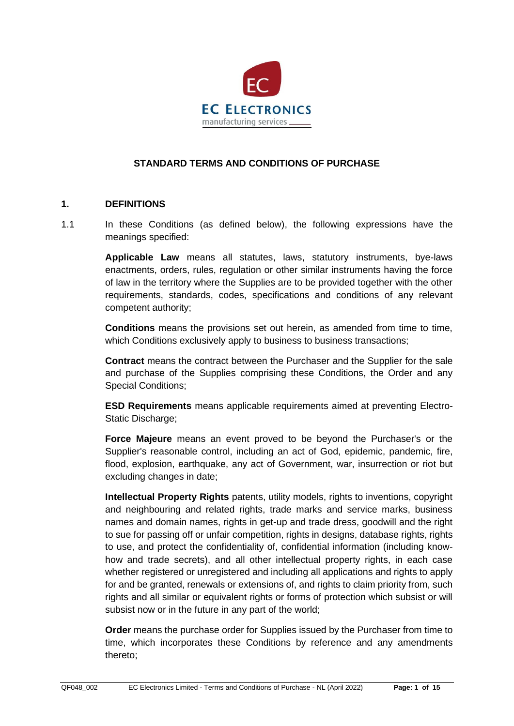

## **STANDARD TERMS AND CONDITIONS OF PURCHASE**

#### **1. DEFINITIONS**

1.1 In these Conditions (as defined below), the following expressions have the meanings specified:

> **Applicable Law** means all statutes, laws, statutory instruments, bye-laws enactments, orders, rules, regulation or other similar instruments having the force of law in the territory where the Supplies are to be provided together with the other requirements, standards, codes, specifications and conditions of any relevant competent authority;

> **Conditions** means the provisions set out herein, as amended from time to time, which Conditions exclusively apply to business to business transactions;

> **Contract** means the contract between the Purchaser and the Supplier for the sale and purchase of the Supplies comprising these Conditions, the Order and any Special Conditions;

> **ESD Requirements** means applicable requirements aimed at preventing Electro-Static Discharge;

> **Force Majeure** means an event proved to be beyond the Purchaser's or the Supplier's reasonable control, including an act of God, epidemic, pandemic, fire, flood, explosion, earthquake, any act of Government, war, insurrection or riot but excluding changes in date;

> **Intellectual Property Rights** patents, utility models, rights to inventions, copyright and neighbouring and related rights, trade marks and service marks, business names and domain names, rights in get-up and trade dress, goodwill and the right to sue for passing off or unfair competition, rights in designs, database rights, rights to use, and protect the confidentiality of, confidential information (including knowhow and trade secrets), and all other intellectual property rights, in each case whether registered or unregistered and including all applications and rights to apply for and be granted, renewals or extensions of, and rights to claim priority from, such rights and all similar or equivalent rights or forms of protection which subsist or will subsist now or in the future in any part of the world;

> **Order** means the purchase order for Supplies issued by the Purchaser from time to time, which incorporates these Conditions by reference and any amendments thereto;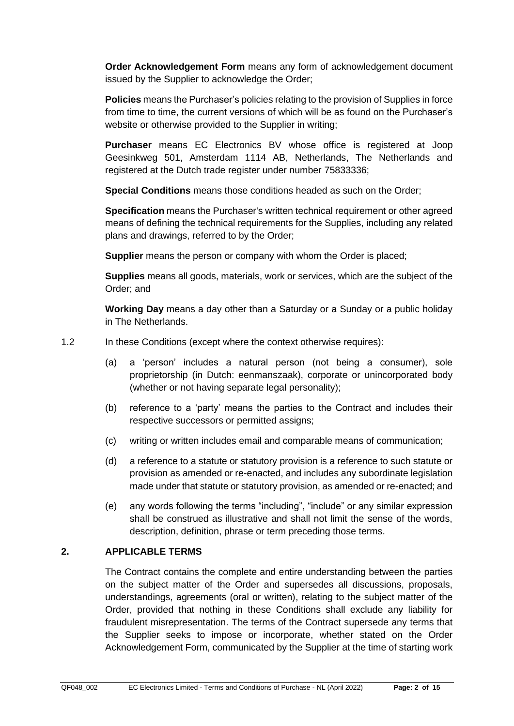**Order Acknowledgement Form** means any form of acknowledgement document issued by the Supplier to acknowledge the Order;

**Policies** means the Purchaser's policies relating to the provision of Supplies in force from time to time, the current versions of which will be as found on the Purchaser's website or otherwise provided to the Supplier in writing;

**Purchaser** means EC Electronics BV whose office is registered at Joop Geesinkweg 501, Amsterdam 1114 AB, Netherlands, The Netherlands and registered at the Dutch trade register under number 75833336;

**Special Conditions** means those conditions headed as such on the Order;

**Specification** means the Purchaser's written technical requirement or other agreed means of defining the technical requirements for the Supplies, including any related plans and drawings, referred to by the Order;

**Supplier** means the person or company with whom the Order is placed;

**Supplies** means all goods, materials, work or services, which are the subject of the Order; and

**Working Day** means a day other than a Saturday or a Sunday or a public holiday in The Netherlands.

1.2 In these Conditions (except where the context otherwise requires):

- (a) a 'person' includes a natural person (not being a consumer), sole proprietorship (in Dutch: eenmanszaak), corporate or unincorporated body (whether or not having separate legal personality);
- (b) reference to a 'party' means the parties to the Contract and includes their respective successors or permitted assigns;
- (c) writing or written includes email and comparable means of communication;
- (d) a reference to a statute or statutory provision is a reference to such statute or provision as amended or re-enacted, and includes any subordinate legislation made under that statute or statutory provision, as amended or re-enacted; and
- (e) any words following the terms "including", "include" or any similar expression shall be construed as illustrative and shall not limit the sense of the words, description, definition, phrase or term preceding those terms.

# **2. APPLICABLE TERMS**

The Contract contains the complete and entire understanding between the parties on the subject matter of the Order and supersedes all discussions, proposals, understandings, agreements (oral or written), relating to the subject matter of the Order, provided that nothing in these Conditions shall exclude any liability for fraudulent misrepresentation. The terms of the Contract supersede any terms that the Supplier seeks to impose or incorporate, whether stated on the Order Acknowledgement Form, communicated by the Supplier at the time of starting work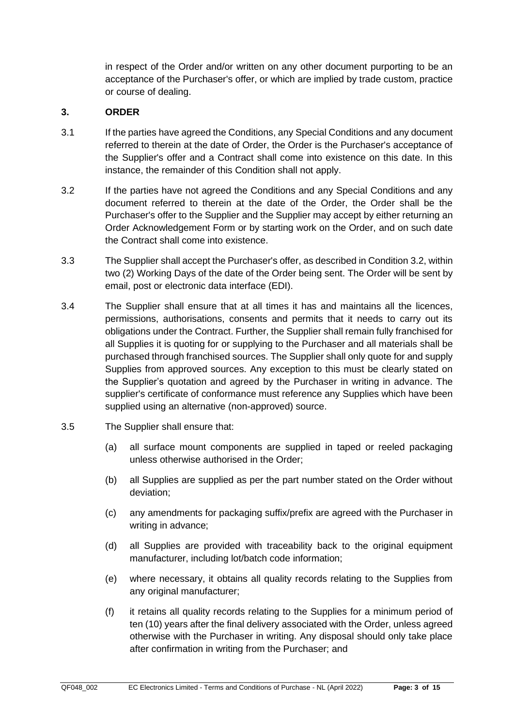in respect of the Order and/or written on any other document purporting to be an acceptance of the Purchaser's offer, or which are implied by trade custom, practice or course of dealing.

## **3. ORDER**

- 3.1 If the parties have agreed the Conditions, any Special Conditions and any document referred to therein at the date of Order, the Order is the Purchaser's acceptance of the Supplier's offer and a Contract shall come into existence on this date. In this instance, the remainder of this Condition shall not apply.
- <span id="page-2-0"></span>3.2 If the parties have not agreed the Conditions and any Special Conditions and any document referred to therein at the date of the Order, the Order shall be the Purchaser's offer to the Supplier and the Supplier may accept by either returning an Order Acknowledgement Form or by starting work on the Order, and on such date the Contract shall come into existence.
- 3.3 The Supplier shall accept the Purchaser's offer, as described in Conditio[n 3.2,](#page-2-0) within two (2) Working Days of the date of the Order being sent. The Order will be sent by email, post or electronic data interface (EDI).
- 3.4 The Supplier shall ensure that at all times it has and maintains all the licences, permissions, authorisations, consents and permits that it needs to carry out its obligations under the Contract. Further, the Supplier shall remain fully franchised for all Supplies it is quoting for or supplying to the Purchaser and all materials shall be purchased through franchised sources. The Supplier shall only quote for and supply Supplies from approved sources. Any exception to this must be clearly stated on the Supplier's quotation and agreed by the Purchaser in writing in advance. The supplier's certificate of conformance must reference any Supplies which have been supplied using an alternative (non-approved) source.
- 3.5 The Supplier shall ensure that:
	- (a) all surface mount components are supplied in taped or reeled packaging unless otherwise authorised in the Order;
	- (b) all Supplies are supplied as per the part number stated on the Order without deviation;
	- (c) any amendments for packaging suffix/prefix are agreed with the Purchaser in writing in advance;
	- (d) all Supplies are provided with traceability back to the original equipment manufacturer, including lot/batch code information;
	- (e) where necessary, it obtains all quality records relating to the Supplies from any original manufacturer;
	- (f) it retains all quality records relating to the Supplies for a minimum period of ten (10) years after the final delivery associated with the Order, unless agreed otherwise with the Purchaser in writing. Any disposal should only take place after confirmation in writing from the Purchaser; and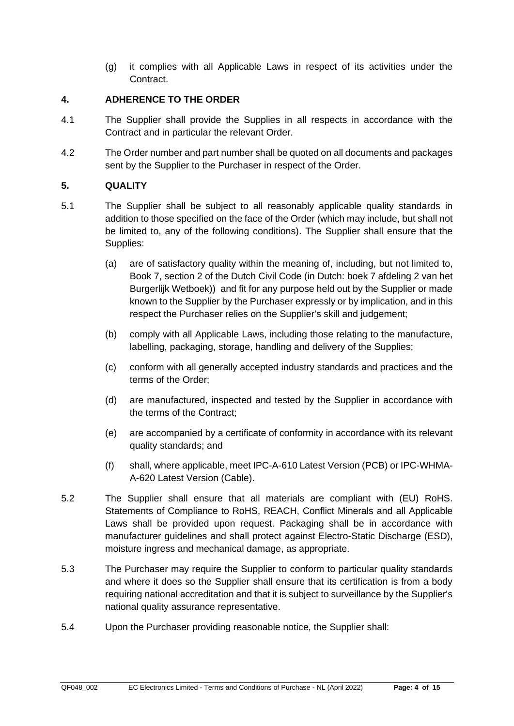(g) it complies with all Applicable Laws in respect of its activities under the Contract.

## **4. ADHERENCE TO THE ORDER**

- 4.1 The Supplier shall provide the Supplies in all respects in accordance with the Contract and in particular the relevant Order.
- 4.2 The Order number and part number shall be quoted on all documents and packages sent by the Supplier to the Purchaser in respect of the Order.

## <span id="page-3-0"></span>**5. QUALITY**

- 5.1 The Supplier shall be subject to all reasonably applicable quality standards in addition to those specified on the face of the Order (which may include, but shall not be limited to, any of the following conditions). The Supplier shall ensure that the Supplies:
	- (a) are of satisfactory quality within the meaning of, including, but not limited to, Book 7, section 2 of the Dutch Civil Code (in Dutch: boek 7 afdeling 2 van het Burgerlijk Wetboek)) and fit for any purpose held out by the Supplier or made known to the Supplier by the Purchaser expressly or by implication, and in this respect the Purchaser relies on the Supplier's skill and judgement;
	- (b) comply with all Applicable Laws, including those relating to the manufacture, labelling, packaging, storage, handling and delivery of the Supplies;
	- (c) conform with all generally accepted industry standards and practices and the terms of the Order;
	- (d) are manufactured, inspected and tested by the Supplier in accordance with the terms of the Contract;
	- (e) are accompanied by a certificate of conformity in accordance with its relevant quality standards; and
	- (f) shall, where applicable, meet IPC-A-610 Latest Version (PCB) or IPC-WHMA-A-620 Latest Version (Cable).
- 5.2 The Supplier shall ensure that all materials are compliant with (EU) RoHS. Statements of Compliance to RoHS, REACH, Conflict Minerals and all Applicable Laws shall be provided upon request. Packaging shall be in accordance with manufacturer guidelines and shall protect against Electro-Static Discharge (ESD), moisture ingress and mechanical damage, as appropriate.
- 5.3 The Purchaser may require the Supplier to conform to particular quality standards and where it does so the Supplier shall ensure that its certification is from a body requiring national accreditation and that it is subject to surveillance by the Supplier's national quality assurance representative.
- 5.4 Upon the Purchaser providing reasonable notice, the Supplier shall: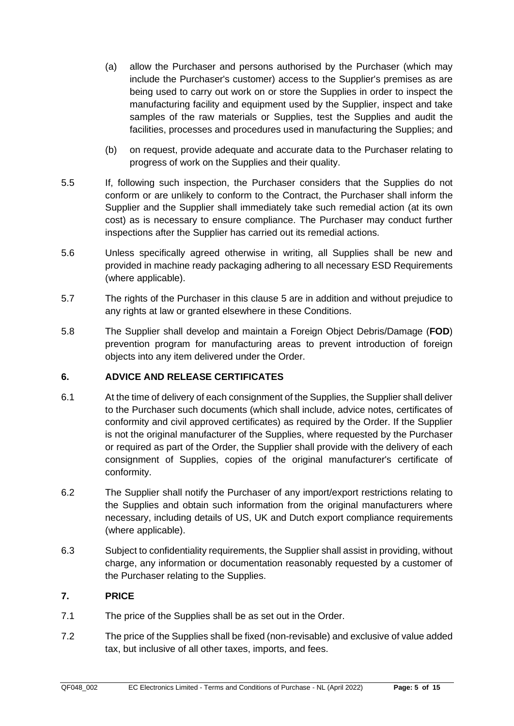- (a) allow the Purchaser and persons authorised by the Purchaser (which may include the Purchaser's customer) access to the Supplier's premises as are being used to carry out work on or store the Supplies in order to inspect the manufacturing facility and equipment used by the Supplier, inspect and take samples of the raw materials or Supplies, test the Supplies and audit the facilities, processes and procedures used in manufacturing the Supplies; and
- (b) on request, provide adequate and accurate data to the Purchaser relating to progress of work on the Supplies and their quality.
- 5.5 If, following such inspection, the Purchaser considers that the Supplies do not conform or are unlikely to conform to the Contract, the Purchaser shall inform the Supplier and the Supplier shall immediately take such remedial action (at its own cost) as is necessary to ensure compliance. The Purchaser may conduct further inspections after the Supplier has carried out its remedial actions.
- 5.6 Unless specifically agreed otherwise in writing, all Supplies shall be new and provided in machine ready packaging adhering to all necessary ESD Requirements (where applicable).
- 5.7 The rights of the Purchaser in this clause [5](#page-3-0) are in addition and without prejudice to any rights at law or granted elsewhere in these Conditions.
- 5.8 The Supplier shall develop and maintain a Foreign Object Debris/Damage (**FOD**) prevention program for manufacturing areas to prevent introduction of foreign objects into any item delivered under the Order.

## **6. ADVICE AND RELEASE CERTIFICATES**

- 6.1 At the time of delivery of each consignment of the Supplies, the Supplier shall deliver to the Purchaser such documents (which shall include, advice notes, certificates of conformity and civil approved certificates) as required by the Order. If the Supplier is not the original manufacturer of the Supplies, where requested by the Purchaser or required as part of the Order, the Supplier shall provide with the delivery of each consignment of Supplies, copies of the original manufacturer's certificate of conformity.
- 6.2 The Supplier shall notify the Purchaser of any import/export restrictions relating to the Supplies and obtain such information from the original manufacturers where necessary, including details of US, UK and Dutch export compliance requirements (where applicable).
- 6.3 Subject to confidentiality requirements, the Supplier shall assist in providing, without charge, any information or documentation reasonably requested by a customer of the Purchaser relating to the Supplies.

# **7. PRICE**

- 7.1 The price of the Supplies shall be as set out in the Order.
- 7.2 The price of the Supplies shall be fixed (non-revisable) and exclusive of value added tax, but inclusive of all other taxes, imports, and fees.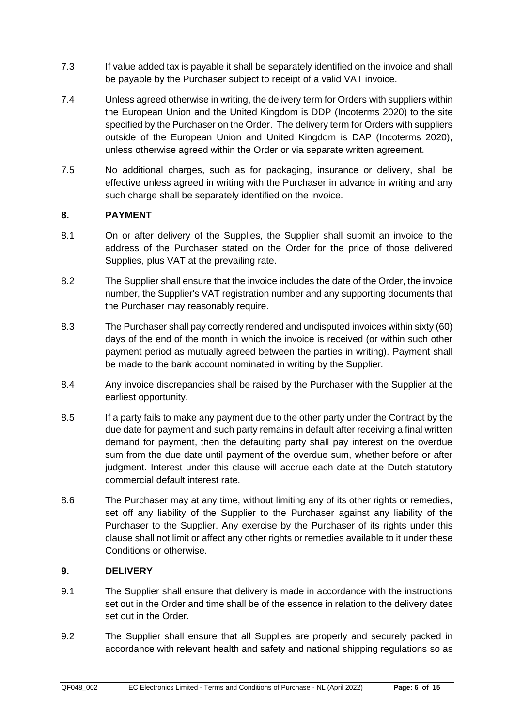- 7.3 If value added tax is payable it shall be separately identified on the invoice and shall be payable by the Purchaser subject to receipt of a valid VAT invoice.
- <span id="page-5-0"></span>7.4 Unless agreed otherwise in writing, the delivery term for Orders with suppliers within the European Union and the United Kingdom is DDP (Incoterms 2020) to the site specified by the Purchaser on the Order. The delivery term for Orders with suppliers outside of the European Union and United Kingdom is DAP (Incoterms 2020), unless otherwise agreed within the Order or via separate written agreement.
- 7.5 No additional charges, such as for packaging, insurance or delivery, shall be effective unless agreed in writing with the Purchaser in advance in writing and any such charge shall be separately identified on the invoice.

## **8. PAYMENT**

- 8.1 On or after delivery of the Supplies, the Supplier shall submit an invoice to the address of the Purchaser stated on the Order for the price of those delivered Supplies, plus VAT at the prevailing rate.
- 8.2 The Supplier shall ensure that the invoice includes the date of the Order, the invoice number, the Supplier's VAT registration number and any supporting documents that the Purchaser may reasonably require.
- 8.3 The Purchaser shall pay correctly rendered and undisputed invoices within sixty (60) days of the end of the month in which the invoice is received (or within such other payment period as mutually agreed between the parties in writing). Payment shall be made to the bank account nominated in writing by the Supplier.
- 8.4 Any invoice discrepancies shall be raised by the Purchaser with the Supplier at the earliest opportunity.
- 8.5 If a party fails to make any payment due to the other party under the Contract by the due date for payment and such party remains in default after receiving a final written demand for payment, then the defaulting party shall pay interest on the overdue sum from the due date until payment of the overdue sum, whether before or after judgment. Interest under this clause will accrue each date at the Dutch statutory commercial default interest rate.
- 8.6 The Purchaser may at any time, without limiting any of its other rights or remedies, set off any liability of the Supplier to the Purchaser against any liability of the Purchaser to the Supplier. Any exercise by the Purchaser of its rights under this clause shall not limit or affect any other rights or remedies available to it under these Conditions or otherwise.

#### <span id="page-5-1"></span>**9. DELIVERY**

- 9.1 The Supplier shall ensure that delivery is made in accordance with the instructions set out in the Order and time shall be of the essence in relation to the delivery dates set out in the Order.
- 9.2 The Supplier shall ensure that all Supplies are properly and securely packed in accordance with relevant health and safety and national shipping regulations so as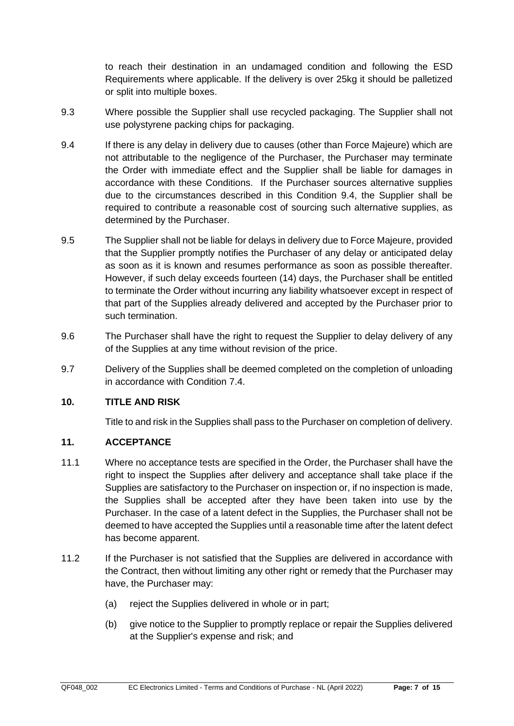to reach their destination in an undamaged condition and following the ESD Requirements where applicable. If the delivery is over 25kg it should be palletized or split into multiple boxes.

- 9.3 Where possible the Supplier shall use recycled packaging. The Supplier shall not use polystyrene packing chips for packaging.
- <span id="page-6-0"></span>9.4 If there is any delay in delivery due to causes (other than Force Majeure) which are not attributable to the negligence of the Purchaser, the Purchaser may terminate the Order with immediate effect and the Supplier shall be liable for damages in accordance with these Conditions. If the Purchaser sources alternative supplies due to the circumstances described in this Condition [9.4,](#page-6-0) the Supplier shall be required to contribute a reasonable cost of sourcing such alternative supplies, as determined by the Purchaser.
- 9.5 The Supplier shall not be liable for delays in delivery due to Force Majeure, provided that the Supplier promptly notifies the Purchaser of any delay or anticipated delay as soon as it is known and resumes performance as soon as possible thereafter. However, if such delay exceeds fourteen (14) days, the Purchaser shall be entitled to terminate the Order without incurring any liability whatsoever except in respect of that part of the Supplies already delivered and accepted by the Purchaser prior to such termination.
- 9.6 The Purchaser shall have the right to request the Supplier to delay delivery of any of the Supplies at any time without revision of the price.
- 9.7 Delivery of the Supplies shall be deemed completed on the completion of unloading in accordance with Condition [7.4.](#page-5-0)

## **10. TITLE AND RISK**

Title to and risk in the Supplies shall pass to the Purchaser on completion of delivery.

#### **11. ACCEPTANCE**

- 11.1 Where no acceptance tests are specified in the Order, the Purchaser shall have the right to inspect the Supplies after delivery and acceptance shall take place if the Supplies are satisfactory to the Purchaser on inspection or, if no inspection is made, the Supplies shall be accepted after they have been taken into use by the Purchaser. In the case of a latent defect in the Supplies, the Purchaser shall not be deemed to have accepted the Supplies until a reasonable time after the latent defect has become apparent.
- <span id="page-6-1"></span>11.2 If the Purchaser is not satisfied that the Supplies are delivered in accordance with the Contract, then without limiting any other right or remedy that the Purchaser may have, the Purchaser may:
	- (a) reject the Supplies delivered in whole or in part;
	- (b) give notice to the Supplier to promptly replace or repair the Supplies delivered at the Supplier's expense and risk; and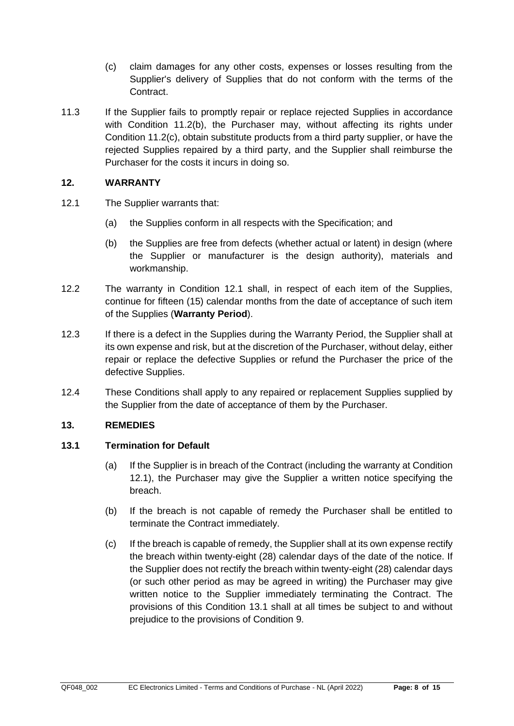- (c) claim damages for any other costs, expenses or losses resulting from the Supplier's delivery of Supplies that do not conform with the terms of the Contract.
- <span id="page-7-0"></span>11.3 If the Supplier fails to promptly repair or replace rejected Supplies in accordance with Condition [11.2\(b\),](#page-6-1) the Purchaser may, without affecting its rights under Condition [11.2\(c\),](#page-7-0) obtain substitute products from a third party supplier, or have the rejected Supplies repaired by a third party, and the Supplier shall reimburse the Purchaser for the costs it incurs in doing so.

## **12. WARRANTY**

- <span id="page-7-1"></span>12.1 The Supplier warrants that:
	- (a) the Supplies conform in all respects with the Specification; and
	- (b) the Supplies are free from defects (whether actual or latent) in design (where the Supplier or manufacturer is the design authority), materials and workmanship.
- 12.2 The warranty in Condition [12.1](#page-7-1) shall, in respect of each item of the Supplies, continue for fifteen (15) calendar months from the date of acceptance of such item of the Supplies (**Warranty Period**).
- 12.3 If there is a defect in the Supplies during the Warranty Period, the Supplier shall at its own expense and risk, but at the discretion of the Purchaser, without delay, either repair or replace the defective Supplies or refund the Purchaser the price of the defective Supplies.
- 12.4 These Conditions shall apply to any repaired or replacement Supplies supplied by the Supplier from the date of acceptance of them by the Purchaser.

# **13. REMEDIES**

# <span id="page-7-2"></span>**13.1 Termination for Default**

- (a) If the Supplier is in breach of the Contract (including the warranty at Condition [12.1\)](#page-7-1), the Purchaser may give the Supplier a written notice specifying the breach.
- (b) If the breach is not capable of remedy the Purchaser shall be entitled to terminate the Contract immediately.
- (c) If the breach is capable of remedy, the Supplier shall at its own expense rectify the breach within twenty-eight (28) calendar days of the date of the notice. If the Supplier does not rectify the breach within twenty-eight (28) calendar days (or such other period as may be agreed in writing) the Purchaser may give written notice to the Supplier immediately terminating the Contract. The provisions of this Condition [13.1](#page-7-2) shall at all times be subject to and without prejudice to the provisions of Condition [9.](#page-5-1)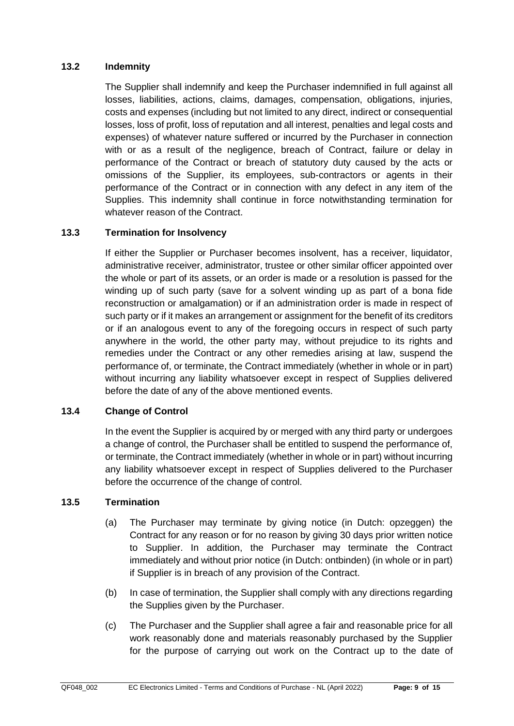### **13.2 Indemnity**

The Supplier shall indemnify and keep the Purchaser indemnified in full against all losses, liabilities, actions, claims, damages, compensation, obligations, injuries, costs and expenses (including but not limited to any direct, indirect or consequential losses, loss of profit, loss of reputation and all interest, penalties and legal costs and expenses) of whatever nature suffered or incurred by the Purchaser in connection with or as a result of the negligence, breach of Contract, failure or delay in performance of the Contract or breach of statutory duty caused by the acts or omissions of the Supplier, its employees, sub-contractors or agents in their performance of the Contract or in connection with any defect in any item of the Supplies. This indemnity shall continue in force notwithstanding termination for whatever reason of the Contract.

### **13.3 Termination for Insolvency**

If either the Supplier or Purchaser becomes insolvent, has a receiver, liquidator, administrative receiver, administrator, trustee or other similar officer appointed over the whole or part of its assets, or an order is made or a resolution is passed for the winding up of such party (save for a solvent winding up as part of a bona fide reconstruction or amalgamation) or if an administration order is made in respect of such party or if it makes an arrangement or assignment for the benefit of its creditors or if an analogous event to any of the foregoing occurs in respect of such party anywhere in the world, the other party may, without prejudice to its rights and remedies under the Contract or any other remedies arising at law, suspend the performance of, or terminate, the Contract immediately (whether in whole or in part) without incurring any liability whatsoever except in respect of Supplies delivered before the date of any of the above mentioned events.

#### **13.4 Change of Control**

In the event the Supplier is acquired by or merged with any third party or undergoes a change of control, the Purchaser shall be entitled to suspend the performance of, or terminate, the Contract immediately (whether in whole or in part) without incurring any liability whatsoever except in respect of Supplies delivered to the Purchaser before the occurrence of the change of control.

#### **13.5 Termination**

- (a) The Purchaser may terminate by giving notice (in Dutch: opzeggen) the Contract for any reason or for no reason by giving 30 days prior written notice to Supplier. In addition, the Purchaser may terminate the Contract immediately and without prior notice (in Dutch: ontbinden) (in whole or in part) if Supplier is in breach of any provision of the Contract.
- (b) In case of termination, the Supplier shall comply with any directions regarding the Supplies given by the Purchaser.
- <span id="page-8-0"></span>(c) The Purchaser and the Supplier shall agree a fair and reasonable price for all work reasonably done and materials reasonably purchased by the Supplier for the purpose of carrying out work on the Contract up to the date of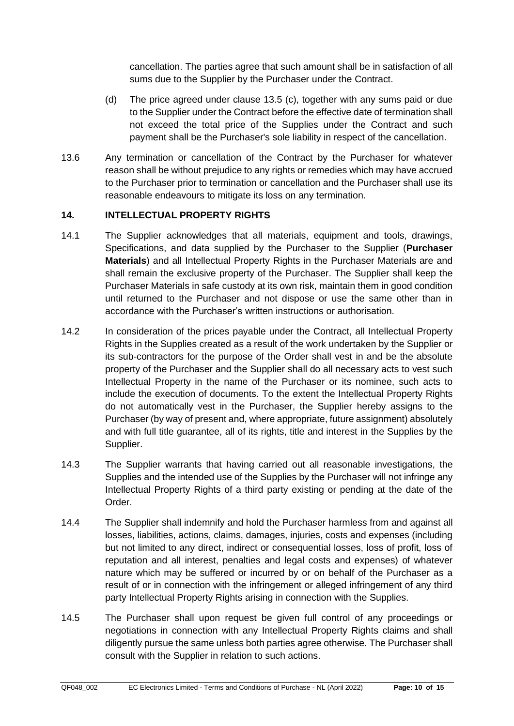cancellation. The parties agree that such amount shall be in satisfaction of all sums due to the Supplier by the Purchaser under the Contract.

- (d) The price agreed under clause 13.5 [\(c\),](#page-8-0) together with any sums paid or due to the Supplier under the Contract before the effective date of termination shall not exceed the total price of the Supplies under the Contract and such payment shall be the Purchaser's sole liability in respect of the cancellation.
- 13.6 Any termination or cancellation of the Contract by the Purchaser for whatever reason shall be without prejudice to any rights or remedies which may have accrued to the Purchaser prior to termination or cancellation and the Purchaser shall use its reasonable endeavours to mitigate its loss on any termination.

### **14. INTELLECTUAL PROPERTY RIGHTS**

- 14.1 The Supplier acknowledges that all materials, equipment and tools, drawings, Specifications, and data supplied by the Purchaser to the Supplier (**Purchaser Materials**) and all Intellectual Property Rights in the Purchaser Materials are and shall remain the exclusive property of the Purchaser. The Supplier shall keep the Purchaser Materials in safe custody at its own risk, maintain them in good condition until returned to the Purchaser and not dispose or use the same other than in accordance with the Purchaser's written instructions or authorisation.
- 14.2 In consideration of the prices payable under the Contract, all Intellectual Property Rights in the Supplies created as a result of the work undertaken by the Supplier or its sub-contractors for the purpose of the Order shall vest in and be the absolute property of the Purchaser and the Supplier shall do all necessary acts to vest such Intellectual Property in the name of the Purchaser or its nominee, such acts to include the execution of documents. To the extent the Intellectual Property Rights do not automatically vest in the Purchaser, the Supplier hereby assigns to the Purchaser (by way of present and, where appropriate, future assignment) absolutely and with full title guarantee, all of its rights, title and interest in the Supplies by the Supplier.
- 14.3 The Supplier warrants that having carried out all reasonable investigations, the Supplies and the intended use of the Supplies by the Purchaser will not infringe any Intellectual Property Rights of a third party existing or pending at the date of the Order.
- 14.4 The Supplier shall indemnify and hold the Purchaser harmless from and against all losses, liabilities, actions, claims, damages, injuries, costs and expenses (including but not limited to any direct, indirect or consequential losses, loss of profit, loss of reputation and all interest, penalties and legal costs and expenses) of whatever nature which may be suffered or incurred by or on behalf of the Purchaser as a result of or in connection with the infringement or alleged infringement of any third party Intellectual Property Rights arising in connection with the Supplies.
- 14.5 The Purchaser shall upon request be given full control of any proceedings or negotiations in connection with any Intellectual Property Rights claims and shall diligently pursue the same unless both parties agree otherwise. The Purchaser shall consult with the Supplier in relation to such actions.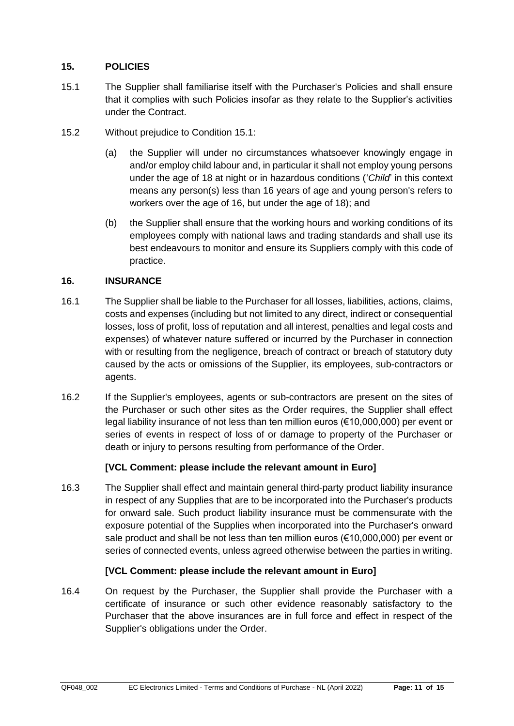## **15. POLICIES**

- <span id="page-10-0"></span>15.1 The Supplier shall familiarise itself with the Purchaser's Policies and shall ensure that it complies with such Policies insofar as they relate to the Supplier's activities under the Contract.
- 15.2 Without prejudice to Condition [15.1:](#page-10-0)
	- (a) the Supplier will under no circumstances whatsoever knowingly engage in and/or employ child labour and, in particular it shall not employ young persons under the age of 18 at night or in hazardous conditions ('*Child*' in this context means any person(s) less than 16 years of age and young person's refers to workers over the age of 16, but under the age of 18); and
	- (b) the Supplier shall ensure that the working hours and working conditions of its employees comply with national laws and trading standards and shall use its best endeavours to monitor and ensure its Suppliers comply with this code of practice.

## **16. INSURANCE**

- 16.1 The Supplier shall be liable to the Purchaser for all losses, liabilities, actions, claims, costs and expenses (including but not limited to any direct, indirect or consequential losses, loss of profit, loss of reputation and all interest, penalties and legal costs and expenses) of whatever nature suffered or incurred by the Purchaser in connection with or resulting from the negligence, breach of contract or breach of statutory duty caused by the acts or omissions of the Supplier, its employees, sub-contractors or agents.
- 16.2 If the Supplier's employees, agents or sub-contractors are present on the sites of the Purchaser or such other sites as the Order requires, the Supplier shall effect legal liability insurance of not less than ten million euros (€10,000,000) per event or series of events in respect of loss of or damage to property of the Purchaser or death or injury to persons resulting from performance of the Order.

# **[VCL Comment: please include the relevant amount in Euro]**

16.3 The Supplier shall effect and maintain general third-party product liability insurance in respect of any Supplies that are to be incorporated into the Purchaser's products for onward sale. Such product liability insurance must be commensurate with the exposure potential of the Supplies when incorporated into the Purchaser's onward sale product and shall be not less than ten million euros (€10,000,000) per event or series of connected events, unless agreed otherwise between the parties in writing.

# **[VCL Comment: please include the relevant amount in Euro]**

16.4 On request by the Purchaser, the Supplier shall provide the Purchaser with a certificate of insurance or such other evidence reasonably satisfactory to the Purchaser that the above insurances are in full force and effect in respect of the Supplier's obligations under the Order.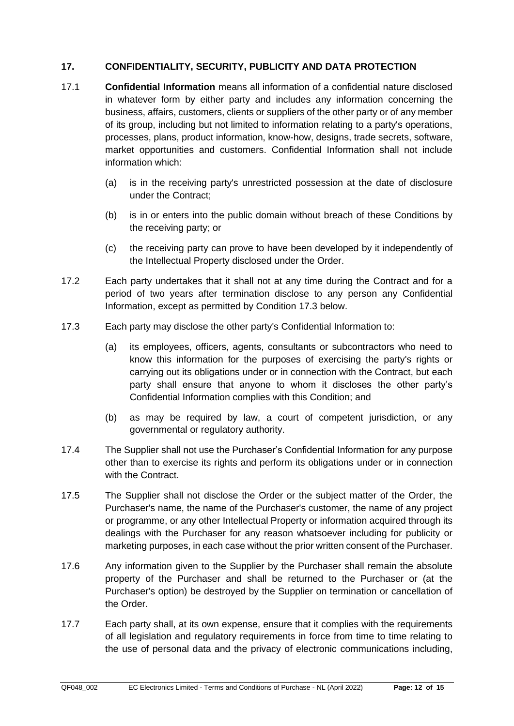## **17. CONFIDENTIALITY, SECURITY, PUBLICITY AND DATA PROTECTION**

- 17.1 **Confidential Information** means all information of a confidential nature disclosed in whatever form by either party and includes any information concerning the business, affairs, customers, clients or suppliers of the other party or of any member of its group, including but not limited to information relating to a party's operations, processes, plans, product information, know-how, designs, trade secrets, software, market opportunities and customers. Confidential Information shall not include information which:
	- (a) is in the receiving party's unrestricted possession at the date of disclosure under the Contract;
	- (b) is in or enters into the public domain without breach of these Conditions by the receiving party; or
	- (c) the receiving party can prove to have been developed by it independently of the Intellectual Property disclosed under the Order.
- 17.2 Each party undertakes that it shall not at any time during the Contract and for a period of two years after termination disclose to any person any Confidential Information, except as permitted by Condition [17.3](#page-11-0) below.
- <span id="page-11-0"></span>17.3 Each party may disclose the other party's Confidential Information to:
	- (a) its employees, officers, agents, consultants or subcontractors who need to know this information for the purposes of exercising the party's rights or carrying out its obligations under or in connection with the Contract, but each party shall ensure that anyone to whom it discloses the other party's Confidential Information complies with this Condition; and
	- (b) as may be required by law, a court of competent jurisdiction, or any governmental or regulatory authority.
- 17.4 The Supplier shall not use the Purchaser's Confidential Information for any purpose other than to exercise its rights and perform its obligations under or in connection with the Contract.
- 17.5 The Supplier shall not disclose the Order or the subject matter of the Order, the Purchaser's name, the name of the Purchaser's customer, the name of any project or programme, or any other Intellectual Property or information acquired through its dealings with the Purchaser for any reason whatsoever including for publicity or marketing purposes, in each case without the prior written consent of the Purchaser.
- 17.6 Any information given to the Supplier by the Purchaser shall remain the absolute property of the Purchaser and shall be returned to the Purchaser or (at the Purchaser's option) be destroyed by the Supplier on termination or cancellation of the Order.
- 17.7 Each party shall, at its own expense, ensure that it complies with the requirements of all legislation and regulatory requirements in force from time to time relating to the use of personal data and the privacy of electronic communications including,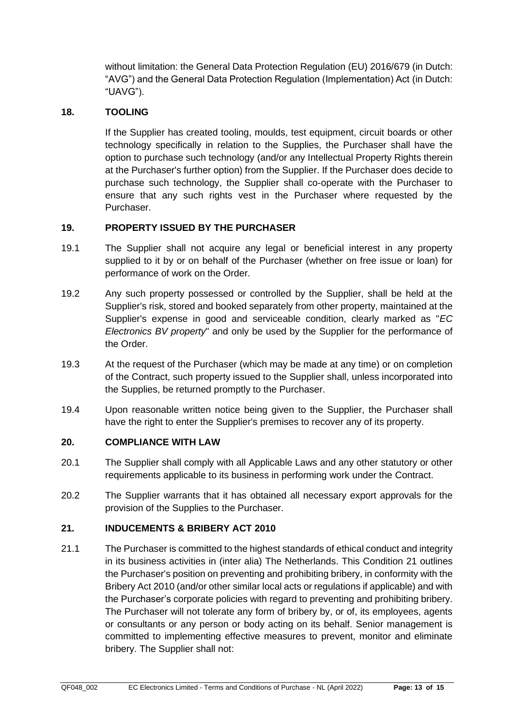without limitation: the General Data Protection Regulation (EU) 2016/679 (in Dutch: "AVG") and the General Data Protection Regulation (Implementation) Act (in Dutch: "UAVG").

## <span id="page-12-1"></span>**18. TOOLING**

If the Supplier has created tooling, moulds, test equipment, circuit boards or other technology specifically in relation to the Supplies, the Purchaser shall have the option to purchase such technology (and/or any Intellectual Property Rights therein at the Purchaser's further option) from the Supplier. If the Purchaser does decide to purchase such technology, the Supplier shall co-operate with the Purchaser to ensure that any such rights vest in the Purchaser where requested by the Purchaser.

### **19. PROPERTY ISSUED BY THE PURCHASER**

- 19.1 The Supplier shall not acquire any legal or beneficial interest in any property supplied to it by or on behalf of the Purchaser (whether on free issue or loan) for performance of work on the Order.
- 19.2 Any such property possessed or controlled by the Supplier, shall be held at the Supplier's risk, stored and booked separately from other property, maintained at the Supplier's expense in good and serviceable condition, clearly marked as "*EC Electronics BV property*" and only be used by the Supplier for the performance of the Order.
- 19.3 At the request of the Purchaser (which may be made at any time) or on completion of the Contract, such property issued to the Supplier shall, unless incorporated into the Supplies, be returned promptly to the Purchaser.
- 19.4 Upon reasonable written notice being given to the Supplier, the Purchaser shall have the right to enter the Supplier's premises to recover any of its property.

#### **20. COMPLIANCE WITH LAW**

- 20.1 The Supplier shall comply with all Applicable Laws and any other statutory or other requirements applicable to its business in performing work under the Contract.
- 20.2 The Supplier warrants that it has obtained all necessary export approvals for the provision of the Supplies to the Purchaser.

#### <span id="page-12-0"></span>**21. INDUCEMENTS & BRIBERY ACT 2010**

21.1 The Purchaser is committed to the highest standards of ethical conduct and integrity in its business activities in (inter alia) The Netherlands. This Condition [21](#page-12-0) outlines the Purchaser's position on preventing and prohibiting bribery, in conformity with the Bribery Act 2010 (and/or other similar local acts or regulations if applicable) and with the Purchaser's corporate policies with regard to preventing and prohibiting bribery. The Purchaser will not tolerate any form of bribery by, or of, its employees, agents or consultants or any person or body acting on its behalf. Senior management is committed to implementing effective measures to prevent, monitor and eliminate bribery. The Supplier shall not: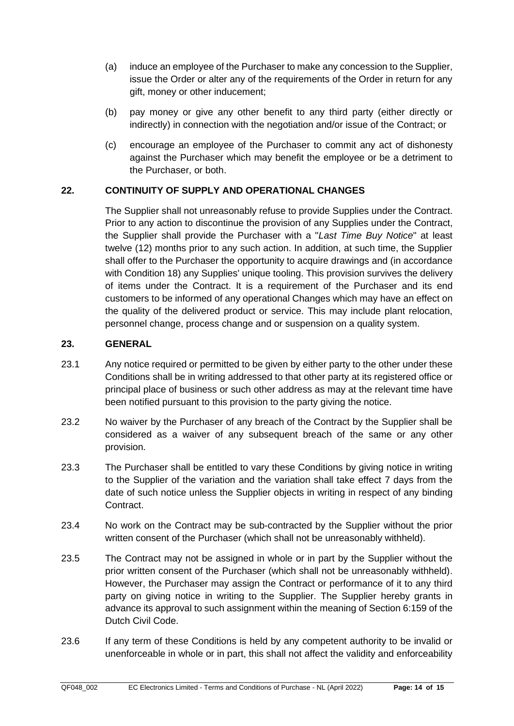- (a) induce an employee of the Purchaser to make any concession to the Supplier, issue the Order or alter any of the requirements of the Order in return for any gift, money or other inducement;
- (b) pay money or give any other benefit to any third party (either directly or indirectly) in connection with the negotiation and/or issue of the Contract; or
- (c) encourage an employee of the Purchaser to commit any act of dishonesty against the Purchaser which may benefit the employee or be a detriment to the Purchaser, or both.

## **22. CONTINUITY OF SUPPLY AND OPERATIONAL CHANGES**

The Supplier shall not unreasonably refuse to provide Supplies under the Contract. Prior to any action to discontinue the provision of any Supplies under the Contract, the Supplier shall provide the Purchaser with a "*Last Time Buy Notice*" at least twelve (12) months prior to any such action. In addition, at such time, the Supplier shall offer to the Purchaser the opportunity to acquire drawings and (in accordance with Condition [18\)](#page-12-1) any Supplies' unique tooling. This provision survives the delivery of items under the Contract. It is a requirement of the Purchaser and its end customers to be informed of any operational Changes which may have an effect on the quality of the delivered product or service. This may include plant relocation, personnel change, process change and or suspension on a quality system.

### **23. GENERAL**

- 23.1 Any notice required or permitted to be given by either party to the other under these Conditions shall be in writing addressed to that other party at its registered office or principal place of business or such other address as may at the relevant time have been notified pursuant to this provision to the party giving the notice.
- 23.2 No waiver by the Purchaser of any breach of the Contract by the Supplier shall be considered as a waiver of any subsequent breach of the same or any other provision.
- 23.3 The Purchaser shall be entitled to vary these Conditions by giving notice in writing to the Supplier of the variation and the variation shall take effect 7 days from the date of such notice unless the Supplier objects in writing in respect of any binding Contract.
- 23.4 No work on the Contract may be sub-contracted by the Supplier without the prior written consent of the Purchaser (which shall not be unreasonably withheld).
- 23.5 The Contract may not be assigned in whole or in part by the Supplier without the prior written consent of the Purchaser (which shall not be unreasonably withheld). However, the Purchaser may assign the Contract or performance of it to any third party on giving notice in writing to the Supplier. The Supplier hereby grants in advance its approval to such assignment within the meaning of Section 6:159 of the Dutch Civil Code.
- 23.6 If any term of these Conditions is held by any competent authority to be invalid or unenforceable in whole or in part, this shall not affect the validity and enforceability